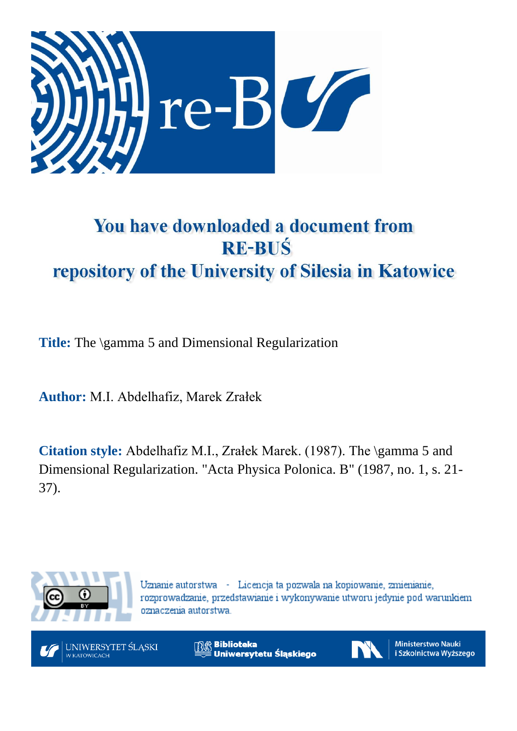

# You have downloaded a document from **RE-BUŚ** repository of the University of Silesia in Katowice

**Title:** The \gamma 5 and Dimensional Regularization

**Author:** M.I. Abdelhafiz, Marek Zrałek

**Citation style:** Abdelhafiz M.I., Zrałek Marek. (1987). The \gamma 5 and Dimensional Regularization. "Acta Physica Polonica. B" (1987, no. 1, s. 21- 37).



Uznanie autorstwa - Licencja ta pozwala na kopiowanie, zmienianie, rozprowadzanie, przedstawianie i wykonywanie utworu jedynie pod warunkiem oznaczenia autorstwa.



**Biblioteka** Uniwersytetu Śląskiego



**Ministerstwo Nauki** i Szkolnictwa Wyższego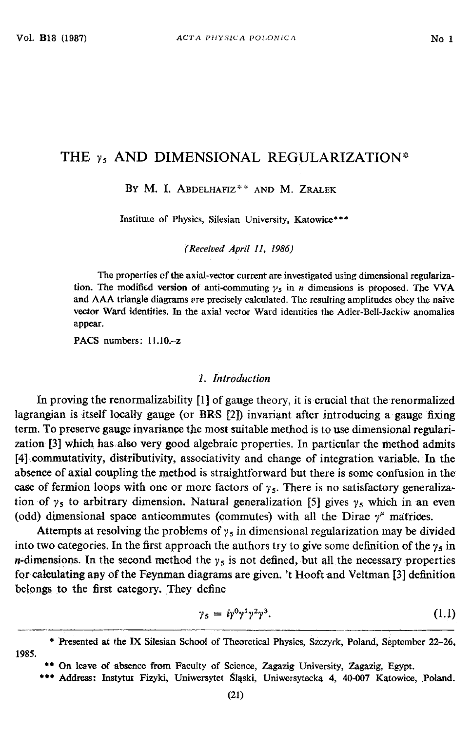## THE  $\gamma_5$  AND DIMENSIONAL REGULARIZATION\*

BY M. I. ABDELHAFIZ\*\* AND M. ZRALEK

Institute of Physics, Silesian University, Katowice\*\*\*

*(Received A pril 11, 1986)*

The properties of the axial-vector current are investigated using dimensional regulariza**tion.** The modified version of anti-commuting  $\gamma_s$  in *n* dimensions is proposed. The VVA **and A A A triangle diagrams are precisely calculated. The resulting amplitudes obey the naive vector Ward identities. In the axial vector Ward identities the Adler-Bell-Jackiw anomalies appear.**

**PACS** numbers: 11.10.-z

#### *1. Introduction*

In proving the renormalizability [1] of gauge theory, it is crucial that the renormalized lagrangian is itself locally gauge (or BRS [2]) invariant after introducing a gauge fixing term. To preserve gauge invariance the most suitable method is to use dimensional regularization [3] which has also very good algebraic properties. In particular the method admits [4] commutativity, distributivity, associativity and change of integration variable. In the absence of axial coupling the method is straightforward but there is some confusion in the case of fermion loops with one or more factors of  $\gamma_5$ . There is no satisfactory generalization of  $\gamma_5$  to arbitrary dimension. Natural generalization [5] gives  $\gamma_5$  which in an even (odd) dimensional space anticommutes (commutes) with all the Dirac  $\gamma^{\mu}$  matrices.

Attempts at resolving the problems of  $\gamma_5$  in dimensional regularization may be divided into two categories. In the first approach the authors try to give some definition of the  $\gamma_5$  in *n*-dimensions. In the second method the  $\gamma_5$  is not defined, but all the necessary properties for calculating any of the Feynman diagrams are given, 't Hooft and Veltman [3] definition belongs to the first category. They define

$$
\gamma_5 = i\gamma^0\gamma^1\gamma^2\gamma^3. \tag{1.1}
$$

\* Presented at the IX Silesian School of Theoretical Physics, Szczyrk, Poland, September 22-26, 1985.

**\*\*\* Address: Instytut Fizyki, Uniwersytet Śląski, Uniwersytecka 4, 40-007 Katowice, Poland.**

<sup>\*\*</sup> On leave of absence from Faculty of Science, Zagazig University, Zagazig, Egypt.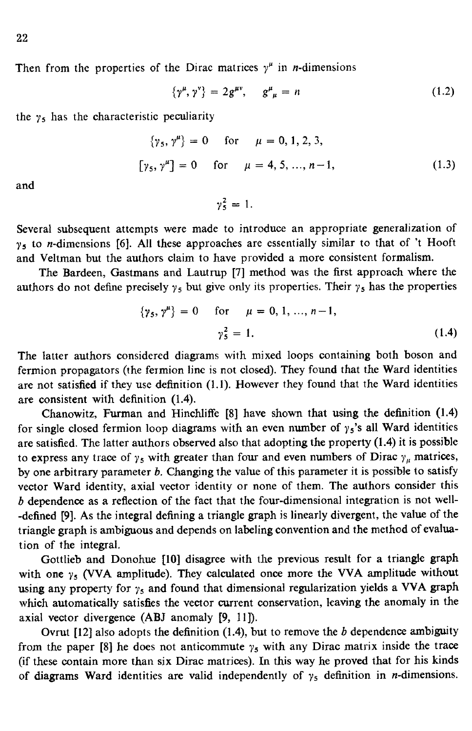Then from the properties of the Dirac matrices  $y^{\mu}$  in *n*-dimensions

$$
\{\gamma^{\mu},\gamma^{\nu}\} = 2g^{\mu\nu}, \quad g^{\mu}_{\ \mu} = n \tag{1.2}
$$

the  $\gamma_5$  has the characteristic peculiarity

$$
\{\gamma_5, \gamma^{\mu}\} = 0 \quad \text{for} \quad \mu = 0, 1, 2, 3,
$$
  

$$
[\gamma_5, \gamma^{\mu}] = 0 \quad \text{for} \quad \mu = 4, 5, ..., n-1,
$$
 (1.3)

and

 $\gamma_5^2 = 1.$ 

Several subsequent attempts were made to introduce an appropriate generalization of  $y<sub>5</sub>$  to *n*-dimensions [6]. All these approaches are essentially similar to that of 't Hooft and Veltman but the authors claim to have provided a more consistent formalism.

The Bardeen, Gastmans and Lautrup [7] method was the first approach where the authors do not define precisely  $\gamma_5$  but give only its properties. Their  $\gamma_5$  has the properties

$$
\{\gamma_5, \gamma^{\mu}\} = 0 \quad \text{for} \quad \mu = 0, 1, ..., n-1,
$$
  

$$
\gamma_5^2 = 1.
$$
 (1.4)

The latter authors considered diagrams with mixed loops containing both boson and fermion propagators (the fermion line is not closed). They found that the Ward identities are not satisfied if they use definition (1.1). However they found that the Ward identities are consistent with definition (1.4).

Chanowitz, Furman and Hinchliffe [8] have shown that using the definition (1.4) for single closed fermion loop diagrams with an even number of  $\gamma_5$ 's all Ward identities are satisfied. The latter authors observed also that adopting the property (1.4) it is possible to express any trace of  $\gamma_5$  with greater than four and even numbers of Dirac  $\gamma_\mu$  matrices, by one arbitrary parameter *b.* Changing the value of this parameter it is possible to satisfy vector Ward identity, axial vector identity or none of them. The authors consider this *b* dependence as a reflection of the fact that the four-dimensional integration is not well- -defined [9]. As the integral defining a triangle graph is linearly divergent, the value of the triangle graph is ambiguous and depends on labeling convention and the method of evaluation of the integral.

Gottlieb and Donohue [10] disagree with the previous result for a triangle graph with one  $\gamma_5$  (VVA amplitude). They calculated once more the VVA amplitude without using any property for  $\gamma_5$  and found that dimensional regularization yields a VVA graph which automatically satisfies the vector current conservation, leaving the anomaly in the axial vector divergence (ABJ anomaly [9, 11]).

Ovrut [12] also adopts the definition (1.4), but to remove the *b* dependence ambiguity from the paper [8] he does not anticommute  $\gamma_5$  with any Dirac matrix inside the trace (if these contain more than six Dirac matrices). In this way he proved that for his kinds of diagrams Ward identities are valid independently of  $\gamma_5$  definition in *n*-dimensions.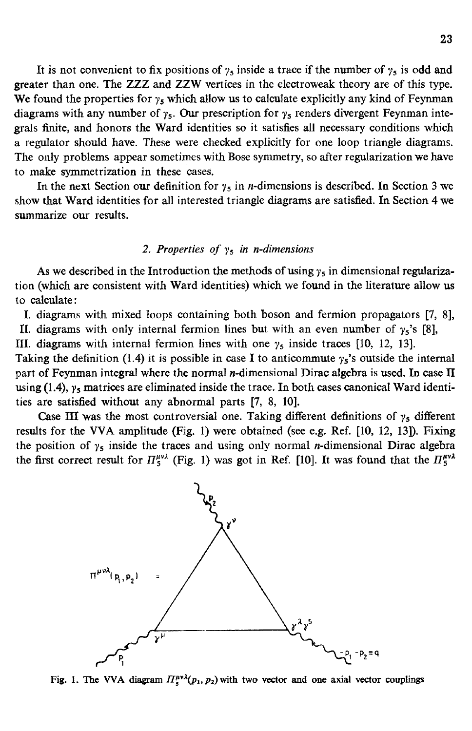It is not convenient to fix positions of  $\gamma_5$  inside a trace if the number of  $\gamma_5$  is odd and greater than one. The ZZZ and ZZW vertices in the electroweak theory are of this type. We found the properties for  $y_5$  which allow us to calculate explicitly any kind of Feynman diagrams with any number of  $\gamma_5$ . Our prescription for  $\gamma_5$  renders divergent Feynman integrals finite, and honors the Ward identities so it satisfies all necessary conditions which a regulator should have. These were checked explicitly for one loop triangle diagrams. The only problems appear sometimes with Bose symmetry, so after regularization we have to make symmetrization in these cases.

In the next Section our definition for  $\gamma_5$  in *n*-dimensions is described. In Section 3 we show that Ward identities for all interested triangle diagrams are satisfied. In Section 4 we summarize our results.

## 2. Properties of  $\gamma_5$  in *n*-dimensions

As we described in the Introduction the methods of using  $\gamma_5$  in dimensional regularization (which are consistent with Ward identities) which we found in the literature allow us to calculate:

I. diagrams with mixed loops containing both boson and fermion propagators [7, 8], II. diagrams with only internal fermion lines but with an even number of  $\gamma_5$ 's [8],

III. diagrams with internal fermion lines with one  $\gamma_5$  inside traces [10, 12, 13].

Taking the definition (1.4) it is possible in case I to anticommute  $\gamma_5$ 's outside the internal part of Feynman integral where the normal  $n$ -dimensional Dirac algebra is used. In case II using (1.4), *ys* matrices are eliminated inside the trace. In both cases canonical Ward identities are satisfied without any abnormal parts [7, 8, 10].

Case III was the most controversial one. Taking different definitions of  $\gamma_5$  different results for the VVA amplitude (Fig. 1) were obtained (see e.g. Ref. [10, 12, 13]). Fixing the position of  $\gamma_5$  inside the traces and using only normal *n*-dimensional Dirac algebra the first correct result for  $\Pi_5^{\mu\nu\lambda}$  (Fig. 1) was got in Ref. [10]. It was found that the  $\Pi_5^{\mu\nu\lambda}$ 



Fig. 1. The VVA diagram  $\Pi_s^{\mu\nu\lambda}(p_1, p_2)$  with two vector and one axial vector couplings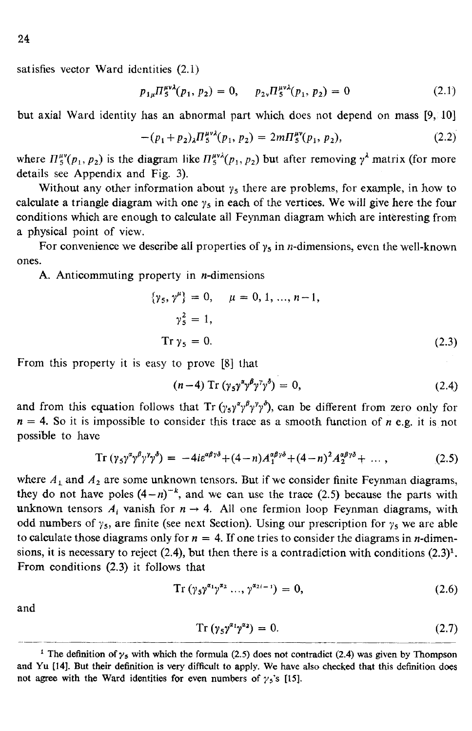satisfies vector Ward identities (2.1)

$$
p_{1\mu} \Pi_5^{\mu\nu\lambda}(p_1, p_2) = 0, \quad p_{2\nu} \Pi_5^{\mu\nu\lambda}(p_1, p_2) = 0 \tag{2.1}
$$

but axial Ward identity has an abnormal part which does not depend on mass (9, 10]

$$
-(p_1+p_2)_\lambda \Pi_5^{\mu\nu\lambda}(p_1,p_2) = 2m\Pi_5^{\mu\nu}(p_1,p_2),\tag{2.2}
$$

where  $\Pi_5^{\mu\nu}(p_1, p_2)$  is the diagram like  $\Pi_5^{\mu\nu\lambda}(p_1, p_2)$  but after removing  $\gamma^{\lambda}$  matrix (for more details see Appendix and Fig. 3).

Without any other information about  $\gamma_5$  there are problems, for example, in how to calculate a triangle diagram with one  $\gamma_5$  in each of the vertices. We will give here the four conditions which are enough to calculate all Feynman diagram which are interesting from a physical point of view.

For convenience we describe all properties of  $y<sub>5</sub>$  in *n*-dimensions, even the well-known ones.

A. Anticommuting property in  $n$ -dimensions

$$
\{\gamma_5, \gamma^{\mu}\} = 0, \quad \mu = 0, 1, ..., n-1,
$$
  

$$
\gamma_5^2 = 1,
$$
  
Tr  $\gamma_5 = 0.$  (2.3)

From this property it is easy to prove [8] that

$$
(n-4)\operatorname{Tr}\left(\gamma_5\gamma^{\alpha}\gamma^{\beta}\gamma^{\gamma}\gamma^{\delta}\right)=0,\tag{2.4}
$$

and from this equation follows that Tr  $(\gamma_5 \gamma^{\alpha} \gamma^{\beta} \gamma^{\gamma} \gamma^{\delta})$ , can be different from zero only for  $n = 4$ . So it is impossible to consider this trace as a smooth function of *n* e.g. it is not possible to have

$$
\operatorname{Tr}\left(\gamma_5\gamma^{\alpha}\gamma^{\beta}\gamma^{\gamma}\gamma^{\delta}\right) = -4ie^{\alpha\beta\gamma\delta} + (4-n)A_1^{\alpha\beta\gamma\delta} + (4-n)^2A_2^{\alpha\beta\gamma\delta} + \dots \,,\tag{2.5}
$$

where  $A_1$  and  $A_2$  are some unknown tensors. But if we consider finite Feynman diagrams, they do not have poles  $(4-n)^{-k}$ , and we can use the trace (2.5) because the parts with unknown tensors  $A_i$  vanish for  $n \to 4$ . All one fermion loop Feynman diagrams, with odd numbers of  $\gamma_5$ , are finite (see next Section). Using our prescription for  $\gamma_5$  we are able to calculate those diagrams only for  $n = 4$ . If one tries to consider the diagrams in *n*-dimensions, it is necessary to reject (2.4), but then there is a contradiction with conditions  $(2.3)^1$ . From conditions (2.3) it follows that

 $Tr(\gamma_5 \gamma^{\alpha_1} \gamma^{\alpha_2} ..., \gamma^{\alpha_{2i-1}}) = 0,$  (2.6)

and

$$
Tr\left(\gamma_5\gamma^{\alpha_1}\gamma^{\alpha_2}\right)=0.\t(2.7)
$$

<sup>&</sup>lt;sup>1</sup> The definition of  $\gamma$ <sub>5</sub> with which the formula (2.5) does not contradict (2.4) was given by Thompson and Yu [14]. But their definition is very difficult to apply. We have also checked that this definition does not agree with the Ward identities for even numbers of  $\gamma_5$ 's [15].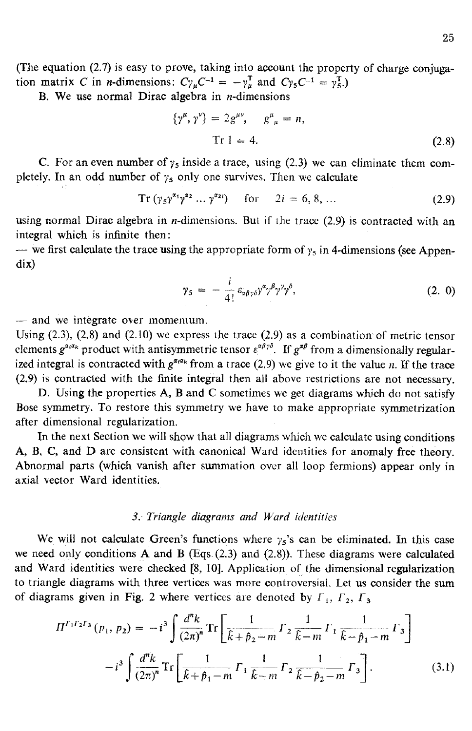B. We use normal Dirac algebra in  $n$ -dimensions

$$
\{\gamma^{\mu}, \gamma^{\nu}\} = 2g^{\mu\nu}, \quad g^{\mu}_{\ \mu} = n,
$$
  
Tr 1 = 4. (2.8)

C. For an even number of  $\gamma_5$  inside a trace, using (2.3) we can eliminate them completely. In an odd number of  $\gamma_5$  only one survives. Then we calculate

$$
Tr (\gamma_5 \gamma^{\alpha_1} \gamma^{\alpha_2} \dots \gamma^{\alpha_{2l}}) \quad \text{for} \quad 2i = 6, 8, \dots \tag{2.9}
$$

using normal Dirac algebra in *n*-dimensions. But if the trace  $(2.9)$  is contracted with an integral which is infinite then:

— we first calculate the trace using the appropriate form of  $\gamma_5$  in 4-dimensions (see Appendix)

$$
\gamma_5 = -\frac{i}{4!} \varepsilon_{\alpha\beta\gamma\delta} \gamma^{\alpha} \gamma^{\beta} \gamma^{\gamma} \gamma^{\delta}, \qquad (2.0)
$$

— and we integrate over momentum.

Using  $(2.3)$ ,  $(2.8)$  and  $(2.10)$  we express the trace  $(2.9)$  as a combination of metric tensor elements  $g^{a_i a_k}$  product with antisymmetric tensor  $\varepsilon^{a\beta\gamma\delta}$ . If  $g^{a\beta}$  from a dimensionally regularized integral is contracted with  $g^{\alpha_i\alpha_k}$  from a trace (2.9) we give to it the value *n*. If the trace (2.9) is contracted with the finite integral then all above restrictions are not necessary.

D. Using the properties A, B and C sometimes we get diagrams which do not satisfy Bose symmetry. To restore this symmetry we have to make appropriate symmetrization after dimensional regularization.

In the next Section we will show that all diagrams which wc calculate using conditions A, B, C, and D are consistent with canonical Ward identities for anomaly free theory. Abnormal parts (which vanish after summation over all loop fermions) appear only in axial vector Ward identities.

#### *3. Triangle diagrams and Ward identities*

We will not calculate Green's functions where  $\gamma_5$ 's can be eliminated. In this case we need only conditions A and B (Eqs (2.3) and (2.8)). These diagrams were calculated and Ward identities were checked [8, 10]. Application of the dimensional regularization to triangle diagrams with three vertices was more controversial. Let us consider the sum of diagrams given in Fig. 2 where vertices are denoted by  $\Gamma_1$ ,  $\Gamma_2$ ,  $\Gamma_3$ 

$$
\Pi^{F_1F_2F_3}(p_1, p_2) = -i^3 \int \frac{d^n k}{(2\pi)^n} \operatorname{Tr} \left[ \frac{1}{\hat{k} + \hat{p}_2 - m} \Gamma_2 \frac{1}{\hat{k} - m} \Gamma_1 \frac{1}{\hat{k} - \hat{p}_1 - m} \Gamma_3 \right] -i^3 \int \frac{d^n k}{(2\pi)^n} \operatorname{Tr} \left[ \frac{1}{\hat{k} + \hat{p}_1 - m} \Gamma_1 \frac{1}{\hat{k} - m} \Gamma_2 \frac{1}{\hat{k} - \hat{p}_2 - m} \Gamma_3 \right].
$$
 (3.1)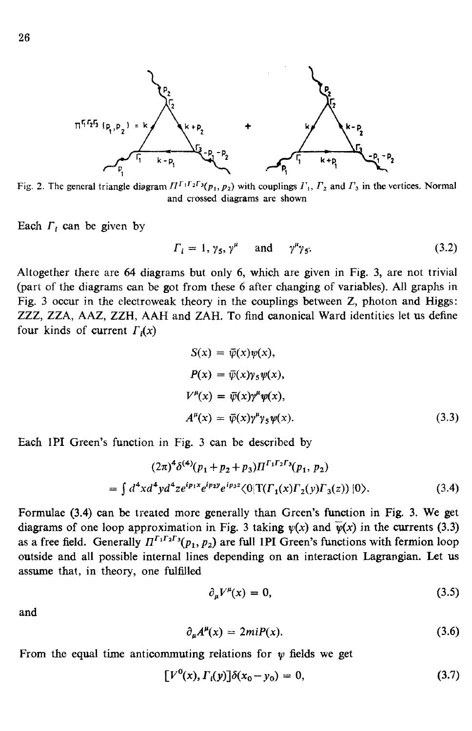

**Fig. 2. The general triangle diagram**  $\Pi^{f_1 f_2 f_3}(p_1, p_2)$  **with couplings**  $I_1$ **,**  $I_2$  **and**  $I_3$  **in the vertices. Normal and crossed diagrams are shown**

Each  $\Gamma_i$  can be given by

$$
\Gamma_i = 1, \gamma_5, \gamma^{\mu} \quad \text{and} \quad \gamma^{\mu} \gamma_5. \tag{3.2}
$$

Altogether there are 64 diagrams but only 6, which are given in Fig. 3, are not trivial (part of the diagrams can be got from these 6 after changing of variables). All graphs in Fig. 3 occur in the electroweak theory in the couplings between Z, photon and Higgs: ZZZ, ZZA, AAZ, ZZH, A AH and ZAH. To find canonical Ward identities let us define four kinds of current  $\Gamma_i(x)$ 

$$
S(x) = \overline{\psi}(x)\psi(x),
$$
  
\n
$$
P(x) = \overline{\psi}(x)\gamma_5\psi(x),
$$
  
\n
$$
V^{\mu}(x) = \overline{\psi}(x)\gamma^{\mu}\psi(x),
$$
  
\n
$$
A^{\mu}(x) = \overline{\psi}(x)\gamma^{\mu}\gamma_5\psi(x).
$$
\n(3.3)

Each 1PI Green's function in Fig. 3 can be described by

$$
(2\pi)^4 \delta^{(4)}(p_1 + p_2 + p_3) \Pi^{\Gamma_1 \Gamma_2 \Gamma_3}(p_1, p_2)
$$
  
=  $\int d^4 x d^4 y d^4 z e^{ip_1 x} e^{ip_2 y} e^{ip_3 z} \langle 0|T(\Gamma_1(x)\Gamma_2(y)\Gamma_3(z))|0\rangle.$  (3.4)

Formulae (3.4) can be treated more generally than Green's function in Fig. 3. We get diagrams of one loop approximation in Fig. 3 taking  $\psi(x)$  and  $\overline{\psi}(x)$  in the currents (3.3) as a free field. Generally  $\Pi^{\Gamma_1 \Gamma_2 \Gamma_3}(p_1, p_2)$  are full 1PI Green's functions with fermion loop outside and all possible internal lines depending on an interaction Lagrangian. Let us assume that, in theory, one fulfilled

$$
\partial_{\mu}V^{\mu}(x) = 0, \tag{3.5}
$$

and

$$
\partial_u A^\mu(x) = 2mi P(x). \tag{3.6}
$$

From the equal time anticommuting relations for  $\psi$  fields we get

$$
[V^{0}(x), \Gamma_{i}(y)]\delta(x_{0} - y_{0}) = 0, \qquad (3.7)
$$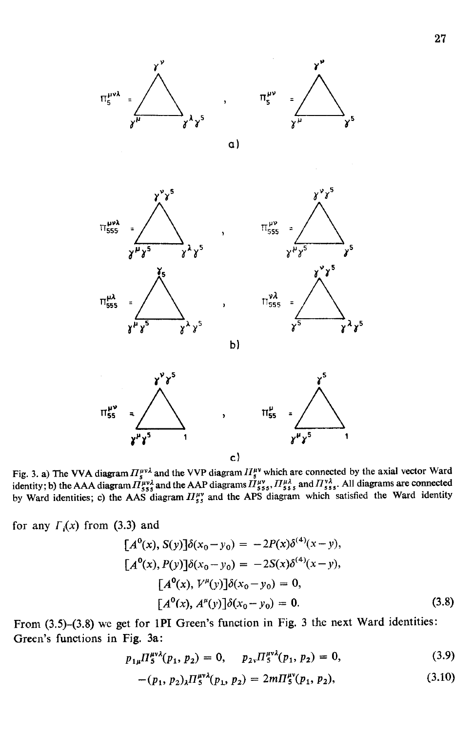

 $\gamma^{\nu} \gamma^5$ 



 $\alpha$ )







b)

**Fig. 3. a) The VVA diagram**  $H^{\mu\nu\lambda}$  **and the VVP diagram**  $H^{\mu\nu}$  **which are connected by the axial vector Ward** identity; b) the AAA diagram  $\pi_{\rm s}^{\mu\nu\lambda}$  and the AAP diagrams  $\pi_{\rm s}^{\mu\nu}$ ,  $\pi_{\rm s}^{\mu}$ , and  $\pi_{\rm s}^{\nu}$ , All diagrams are connected by Ward identities; c) the AAS diagram  $H_{\epsilon}^{uv}$  and the APS diagram which satisfied the Ward identity

for any  $\Gamma_i(x)$  from (3.3) and

$$
[A^{0}(x), S(y)]\delta(x_{0} - y_{0}) = -2P(x)\delta^{(4)}(x - y),
$$
  
\n
$$
[A^{0}(x), P(y)]\delta(x_{0} - y_{0}) = -2S(x)\delta^{(4)}(x - y),
$$
  
\n
$$
[A^{0}(x), V^{\mu}(y)]\delta(x_{0} - y_{0}) = 0,
$$
  
\n
$$
[A^{0}(x), A^{\mu}(y)]\delta(x_{0} - y_{0}) = 0.
$$
\n(3.8)

From (3.5)-(3.8) we get for 1PI Green's function in Fig. 3 the next Ward identities: Green's functions in Fig. 3a:

$$
p_{1\mu} \Pi_5^{\mu\nu\lambda}(p_1, p_2) = 0, \quad p_{2\nu} \Pi_5^{\mu\nu\lambda}(p_1, p_2) = 0,\tag{3.9}
$$

$$
-(p_1, p_2)_{\lambda} \Pi_5^{\mu\nu\lambda}(p_1, p_2) = 2m\Pi_5^{\mu\nu}(p_1, p_2), \qquad (3.10)
$$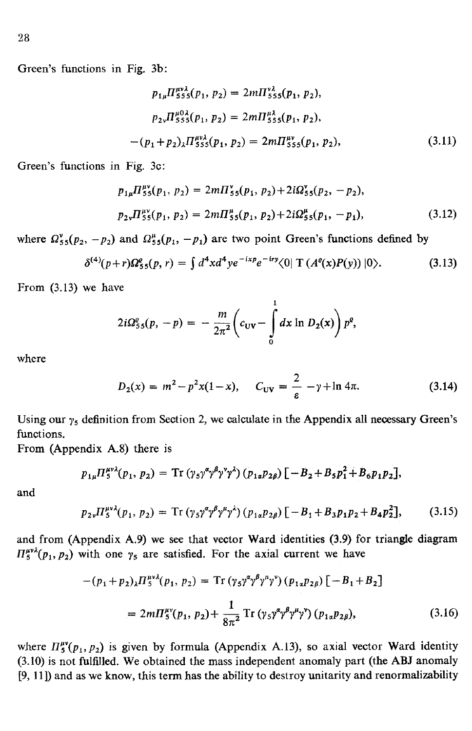$$
p_{1\mu} \Pi_{555}^{\mu\nu\lambda}(p_1, p_2) = 2m \Pi_{555}^{\nu\lambda}(p_1, p_2),
$$
  
\n
$$
p_{2\nu} \Pi_{555}^{\mu 0\lambda}(p_1, p_2) = 2m \Pi_{555}^{\mu\lambda}(p_1, p_2),
$$
  
\n
$$
-(p_1 + p_2)_{\lambda} \Pi_{555}^{\mu\nu\lambda}(p_1, p_2) = 2m \Pi_{555}^{\mu\nu}(p_1, p_2),
$$
\n(3.11)

Green's functions in Fig. 3c:

$$
p_{1\mu} \Pi_{55}^{\mu\nu}(p_1, p_2) = 2m \Pi_{55}^{\nu}(p_1, p_2) + 2i\Omega_{55}^{\nu}(p_2, -p_2),
$$
  
\n
$$
p_{2\nu} \Pi_{55}^{\mu\nu}(p_1, p_2) = 2m \Pi_{55}^{\mu}(p_1, p_2) + 2i\Omega_{55}^{\mu}(p_1, -p_1),
$$
\n(3.12)

where  $\Omega_{55}^{v}(p_2, -p_2)$  and  $\Omega_{55}^{\mu}(p_1, -p_1)$  are two point Green's functions defined by

$$
\delta^{(4)}(p+r)\Omega_{55}^e(p,r) = \int d^4x d^4y e^{-ixp} e^{-iry} \langle 0| T(A^e(x)P(y)) |0 \rangle.
$$
 (3.13)

From (3.13) we have

$$
2i\Omega_{55}^{\rho}(p,-p) = -\frac{m}{2\pi^2}\bigg(c_{\text{UV}} - \int\limits_{0}^{1} dx \ln D_2(x)\bigg) p^{\rho},
$$

where

$$
D_2(x) = m^2 - p^2 x (1 - x), \quad C_{UV} = \frac{2}{\varepsilon} - \gamma + \ln 4\pi.
$$
 (3.14)

Using our  $\gamma_5$  definition from Section 2, we calculate in the Appendix all necessary Green's functions.

From (Appendix A.8) there is

$$
p_{1\mu} \Pi_5^{\mu\nu\lambda}(p_1, p_2) = \text{Tr} \left( \gamma_5 \gamma^{\alpha} \gamma^{\beta} \gamma^{\nu} \gamma^{\lambda} \right) (p_{1a} p_{2\beta}) \left[ -B_2 + B_5 p_1^2 + B_6 p_1 p_2 \right],
$$

and

$$
p_{2\nu} \Pi_5^{\mu\nu\lambda}(p_1, p_2) = \text{Tr} \left( \gamma_5 \gamma^{\alpha} \gamma^{\beta} \gamma^{\mu} \gamma^{\lambda} \right) \left( p_{1\alpha} p_{2\beta} \right) \left[ -B_1 + B_3 p_1 p_2 + B_4 p_2^2 \right], \tag{3.15}
$$

and from (Appendix A.9) we see that vector Ward identities (3.9) for triangle diagram  $H_5^{\mu\nu\lambda}(p_1, p_2)$  with one  $\gamma_5$  are satisfied. For the axial current we have

$$
-(p_1 + p_2)_{\lambda} \Pi_5^{\mu\nu\lambda}(p_1, p_2) = \text{Tr} \left( \gamma_5 \gamma^{\alpha} \gamma^{\beta} \gamma^{\mu} \gamma^{\nu} \right) (p_{1\alpha} p_{2\beta}) \left[ -B_1 + B_2 \right]
$$
  
=  $2m \Pi_5^{\mu\nu}(p_1, p_2) + \frac{1}{8\pi^2} \text{Tr} \left( \gamma_5 \gamma^{\alpha} \gamma^{\beta} \gamma^{\mu} \gamma^{\nu} \right) (p_{1\alpha} p_{2\beta}),$  (3.16)

where  $\Pi_5^{\mu\nu}(p_1, p_2)$  is given by formula (Appendix A.13), so axial vector Ward identity (3.10) is not fulfilled. We obtained the mass independent anomaly part (the ABJ anomaly [9, 11 ]) and as we know, this term has the ability to destroy unitarity and renormalizability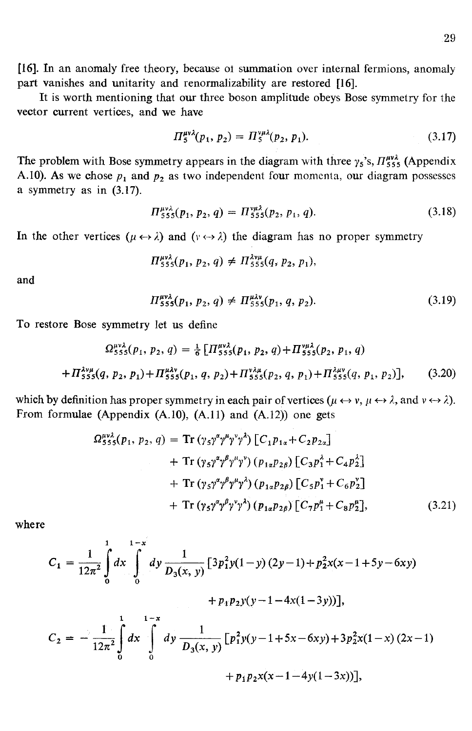[16]. In an anomaly free theory, because ol summation over internal fermions, anomaly part vanishes and unitarity and renormalizability are restored [16].

It is worth mentioning that our three boson amplitude obeys Bose symmetry for the vector current vertices, and we have

$$
\Pi_5^{\mu\nu\lambda}(p_1, p_2) = \Pi_5^{\nu\mu\lambda}(p_2, p_1). \tag{3.17}
$$

The problem with Bose symmetry appears in the diagram with three  $\gamma_5$ 's,  $\pi_{555}^{\mu\nu\lambda}$  (Appendix A.10). As we chose  $p_1$  and  $p_2$  as two independent four momenta, our diagram possesses a symmetry as in (3.17).

$$
\Pi_{555}^{\mu\nu\lambda}(p_1, p_2, q) = \Pi_{555}^{\nu\mu\lambda}(p_2, p_1, q). \tag{3.18}
$$

In the other vertices  $(\mu \leftrightarrow \lambda)$  and  $(\nu \leftrightarrow \lambda)$  the diagram has no proper symmetry

$$
\Pi_{555}^{\mu\nu\lambda}(p_1, p_2, q) \neq \Pi_{555}^{\lambda\nu\mu}(q, p_2, p_1),
$$

and

$$
\Pi_{555}^{\mu\nu\lambda}(p_1, p_2, q) \neq \Pi_{555}^{\mu\lambda\nu}(p_1, q, p_2). \tag{3.19}
$$

To restore Bose symmetry let us define

$$
\Omega_{555}^{\nu\nu\lambda}(p_1, p_2, q) = \frac{1}{6} \left[ \Pi_{555}^{\mu\nu\lambda}(p_1, p_2, q) + \Pi_{555}^{\nu\mu\lambda}(p_2, p_1, q) \right. \n+ \Pi_{555}^{\lambda\nu\mu}(q, p_2, p_1) + \Pi_{555}^{\mu\lambda\nu}(p_1, q, p_2) + \Pi_{555}^{\nu\mu}(p_2, q, p_1) + \Pi_{555}^{\lambda\mu\nu}(q, p_1, p_2) \right], \tag{3.20}
$$

which by definition has proper symmetry in each pair of vertices  $(\mu \leftrightarrow \nu, \mu \leftrightarrow \lambda)$ , and  $\nu \leftrightarrow \lambda$ ). From formulae (Appendix  $(A.10)$ ,  $(A.11)$  and  $(A.12)$ ) one gets

$$
\Omega_{555}^{\mu\nu\lambda}(p_1, p_2, q) = \text{Tr} (\gamma_5 \gamma^{\alpha} \gamma^{\mu} \gamma^{\nu} \gamma^{\lambda}) \left[ C_1 p_{1\alpha} + C_2 p_{2\alpha} \right] \n+ \text{Tr} (\gamma_5 \gamma^{\alpha} \gamma^{\beta} \gamma^{\mu} \gamma^{\nu}) \left( p_{1\alpha} p_{2\beta} \right) \left[ C_3 p_1^{\lambda} + C_4 p_2^{\lambda} \right] \n+ \text{Tr} (\gamma_5 \gamma^{\alpha} \gamma^{\beta} \gamma^{\mu} \gamma^{\lambda}) \left( p_{1\alpha} p_{2\beta} \right) \left[ C_5 p_1^{\nu} + C_6 p_2^{\nu} \right] \n+ \text{Tr} (\gamma_5 \gamma^{\alpha} \gamma^{\beta} \gamma^{\nu} \gamma^{\lambda}) \left( p_{1\alpha} p_{2\beta} \right) \left[ C_7 p_1^{\mu} + C_8 p_2^{\mu} \right],
$$
\n(3.21)

where

$$
C_1 = \frac{1}{12\pi^2} \int_0^1 dx \int_0^{1-x} dy \frac{1}{D_3(x, y)} [3p_1^2 y(1-y) (2y-1) + p_2^2 x(x-1+5y-6xy) + p_1 p_2 y(y-1-4x(1-3y))],
$$
  

$$
C_2 = -\frac{1}{12\pi^2} \int_0^1 dx \int_0^{1-x} dy \frac{1}{D_3(x, y)} [p_1^2 y(y-1+5x-6xy) + 3p_2^2 x(1-x) (2x-1) + p_1 p_2 x(x-1-4y(1-3x))],
$$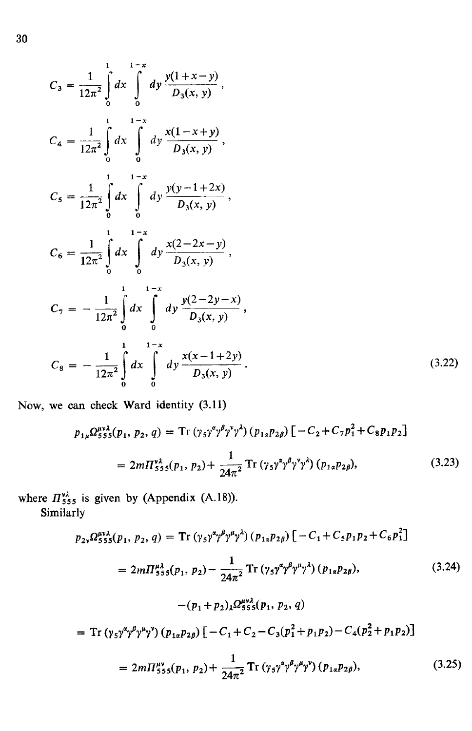$$
C_{3} = \frac{1}{12\pi^{2}} \int_{0}^{1-x} dx \int_{0}^{1-x} dy \frac{y(1+x-y)}{D_{3}(x, y)},
$$
  
\n
$$
C_{4} = \frac{1}{12\pi^{2}} \int_{0}^{1-x} dx \int_{0}^{1-x} dy \frac{x(1-x+y)}{D_{3}(x, y)},
$$
  
\n
$$
C_{5} = \frac{1}{12\pi^{2}} \int_{0}^{1-x} dx \int_{0}^{1-x} dy \frac{y(y-1+2x)}{D_{3}(x, y)},
$$
  
\n
$$
C_{6} = \frac{1}{12\pi^{2}} \int_{0}^{1-x} dx \int_{0}^{1-x} dy \frac{x(2-2x-y)}{D_{3}(x, y)},
$$
  
\n
$$
C_{7} = -\frac{1}{12\pi^{2}} \int_{0}^{1} dx \int_{0}^{1-x} dy \frac{y(2-2y-x)}{D_{3}(x, y)},
$$
  
\n
$$
C_{8} = -\frac{1}{12\pi^{2}} \int_{0}^{1-x} dx \int_{0}^{1-x} dy \frac{x(x-1+2y)}{D_{3}(x, y)}.
$$
\n(3.22)

Now, we can check Ward identity (3.11)

$$
p_{1\mu}\Omega_{555}^{\mu\nu\lambda}(p_1, p_2, q) = \text{Tr}(\gamma_5 \gamma^{\alpha} \gamma^{\beta} \gamma^{\nu} \gamma^{\lambda})(p_{1\alpha}p_{2\beta}) [-C_2 + C_7 p_1^2 + C_8 p_1 p_2]
$$
  
=  $2m\Pi_{555}^{\nu\lambda}(p_1, p_2) + \frac{1}{24\pi^2} \text{Tr}(\gamma_5 \gamma^{\alpha} \gamma^{\beta} \gamma^{\nu} \gamma^{\lambda})(p_{1\alpha}p_{2\beta}),$  (3.23)

where  $\Pi_{555}^{\nu\lambda}$  is given by (Appendix (A.18)).

Similarly

$$
p_{2\nu} \Omega_{555}^{\mu\nu\lambda}(p_1, p_2, q) = \text{Tr} \left( \gamma_5 \gamma^{\alpha} \gamma^{\beta} \gamma^{\mu} \gamma^{\lambda} \right) (p_{1\alpha} p_{2\beta}) \left[ -C_1 + C_5 p_1 p_2 + C_6 p_1^2 \right]
$$
  
=  $2m \Pi_{555}^{\mu\lambda}(p_1, p_2) - \frac{1}{24\pi^2} \text{Tr} \left( \gamma_5 \gamma^{\alpha} \gamma^{\beta} \gamma^{\mu} \gamma^{\lambda} \right) (p_{1\alpha} p_{2\beta}),$  (3.24)  
 $-(p_1 + p_2)_{\lambda} \Omega_{555}^{\mu\nu\lambda}(p_1, p_2, q)$ 

$$
= \mathrm{Tr} \left( \gamma_5 \gamma^{\alpha} \gamma^{\beta} \gamma^{\mu} \gamma^{\nu} \right) \left( p_{1\alpha} p_{2\beta} \right) \left[ -C_1 + C_2 - C_3 (p_1^2 + p_1 p_2) - C_4 (p_2^2 + p_1 p_2) \right]
$$

$$
=2m\Pi_{555}^{\mu\nu}(p_1, p_2)+\frac{1}{24\pi^2}\operatorname{Tr}\left(\gamma_5\gamma^{\alpha}\gamma^{\beta}\gamma^{\mu}\gamma^{\nu}\right)(p_{1\alpha}p_{2\beta}),\tag{3.25}
$$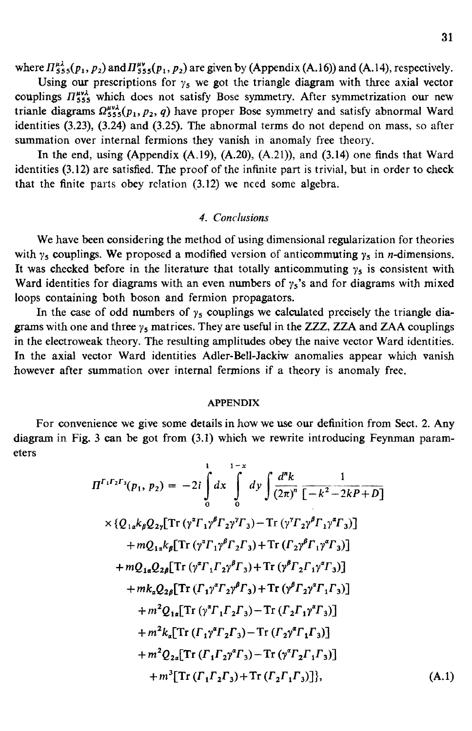where  $\prod_{555}^{\mu\lambda}(p_1,p_2)$  and  $\prod_{555}^{\mu\nu}(p_1,p_2)$  are given by (Appendix (A.16)) and (A.14), respectively.

Using our prescriptions for  $y_5$  we got the triangle diagram with three axial vector couplings  $\Pi_{555}^{\mu\nu\lambda}$  which does not satisfy Bose symmetry. After symmetrization our new trianle diagrams  $\Omega_{555}^{\mu\nu\lambda}(p_1, p_2, q)$  have proper Bose symmetry and satisfy abnormal Ward identities (3.23), (3.24) and (3.25). The abnormal terms do not depend on mass, so after summation over internal fermions they vanish in anomaly free theory.

In the end, using (Appendix  $(A.19)$ ,  $(A.20)$ ,  $(A.21)$ ), and  $(3.14)$  one finds that Ward identities (3.12) are satisfied. The proof of the infinite part is trivial, but in order to check that the finite parts obey relation (3.12) we need some algebra.

## *4. Conclusions*

We have been considering the method of using dimensional regularization for theories with  $\gamma_5$  couplings. We proposed a modified version of anticommuting  $\gamma_5$  in *n*-dimensions. It was checked before in the literature that totally anticommuting  $y_5$  is consistent with Ward identities for diagrams with an even numbers of  $\gamma_5$ 's and for diagrams with mixed loops containing both boson and fermion propagators.

In the case of odd numbers of  $y_5$  couplings we calculated precisely the triangle diagrams with one and three  $\gamma_5$  matrices. They are useful in the ZZZ, ZZA and ZAA couplings in the electroweak theory. The resulting amplitudes obey the naive vector Ward identities. In the axial vector Ward identities Adler-Bell-Jackiw anomalies appear which vanish however after summation over internal fermions if a theory is anomaly free.

### **APPENDIX**

For convenience we give some details in how we use our definition from Sect. 2. Any diagram in Fig. 3 can be got from (3.1) which we rewrite introducing Feynman parameters

$$
\Pi^{\Gamma_{1}\Gamma_{2}\Gamma_{3}}(p_{1}, p_{2}) = -2i \int_{0}^{1} dx \int_{0}^{1-x} dy \int \frac{d^{n}k}{(2\pi)^{n}} \frac{1}{[-k^{2}-2kP+D]}
$$
  
\n
$$
\times \{Q_{1\alpha}k_{\beta}Q_{2\gamma}[Tr(\gamma^{2}\Gamma_{1}\gamma^{\beta}\Gamma_{2}\gamma^{\gamma}\Gamma_{3}) - Tr(\gamma^{\gamma}\Gamma_{2}\gamma^{\beta}\Gamma_{1}\gamma^{2}\Gamma_{3})] + mQ_{1\alpha}k_{\beta}[Tr(\gamma^{2}\Gamma_{1}\gamma^{\beta}\Gamma_{2}\Gamma_{3}) + Tr(\Gamma_{2}\gamma^{\beta}\Gamma_{1}\gamma^{\gamma}\Gamma_{3})] + mQ_{1\alpha}Q_{2\beta}[Tr(\gamma^{2}\Gamma_{1}\Gamma_{2}\gamma^{\beta}\Gamma_{3}) + Tr(\gamma^{\beta}\Gamma_{2}\Gamma_{1}\gamma^{\gamma}\Gamma_{3})] + mk_{\alpha}Q_{2\beta}[Tr(\Gamma_{1}\gamma^{\gamma}\Gamma_{2}\gamma^{\beta}\Gamma_{3}) + Tr(\gamma^{\beta}\Gamma_{2}\gamma^{\gamma}\Gamma_{1}\Gamma_{3})] + m^{2}Q_{1\alpha}[Tr(\gamma^{\gamma}\Gamma_{1}\Gamma_{2}\Gamma_{3}) - Tr(\Gamma_{2}\Gamma_{1}\gamma^{\gamma}\Gamma_{3})] + m^{2}k_{\alpha}[Tr(\Gamma_{1}\gamma^{\gamma}\Gamma_{2}\Gamma_{3}) - Tr(\Gamma_{2}\gamma^{\gamma}\Gamma_{1}\Gamma_{3})] + m^{2}k_{\alpha}[Tr(\Gamma_{1}\gamma^{\gamma}\Gamma_{2}\Gamma_{3}) - Tr(\gamma^{\gamma}\Gamma_{2}\Gamma_{1}\Gamma_{3})] + m^{2}Q_{2\alpha}[Tr(\Gamma_{1}\Gamma_{2}\gamma^{\gamma}\Gamma_{3}) - Tr(\gamma^{\gamma}\Gamma_{2}\Gamma_{1}\Gamma_{3})] + m^{3}[Tr(\Gamma_{1}\Gamma_{2}\Gamma_{3}) + Tr(\Gamma_{2}\Gamma_{1}\Gamma_{3})], \qquad (A.1)
$$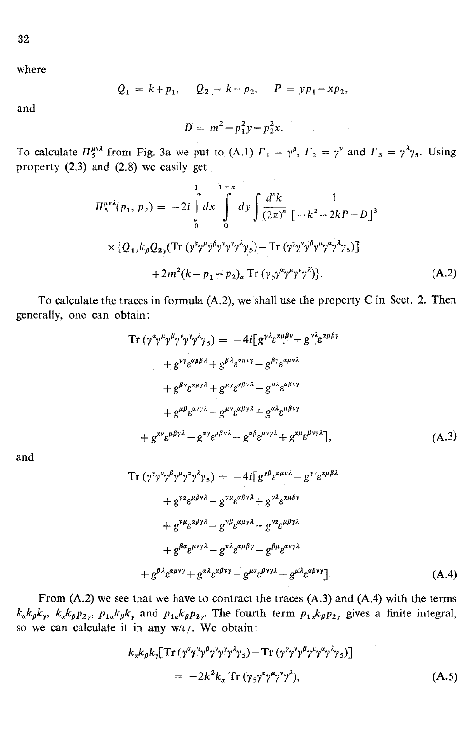where

$$
Q_1 = k + p_1
$$
,  $Q_2 = k - p_2$ ,  $P = yp_1 - xp_2$ ,

and

$$
D = m^2 - p_1^2 y - p_2^2 x.
$$

To calculate  $\Pi_5^{\mu\nu\lambda}$  from Fig. 3a we put to (A.1)  $\Gamma_1 = \gamma^\mu$ ,  $\Gamma_2 = \gamma^\nu$  and  $\Gamma_3 = \gamma^\lambda \gamma_5$ . Using property (2.3) and (2.8) we easily get

 $\label{eq:2.1} \mathcal{L}(\mathcal{A}) = \mathcal{L}(\mathcal{A}) = \mathcal{L}(\mathcal{A}) = \mathcal{L}(\mathcal{A}) = \mathcal{L}(\mathcal{A}) = \mathcal{L}(\mathcal{A})$ 

$$
\Pi_{5}^{\mu\nu\lambda}(p_{1}, p_{2}) = -2i \int_{0}^{1} dx \int_{0}^{1-x} dy \int \frac{d^{n}k}{(2\pi)^{n}} \frac{1}{[-k^{2} - 2kP + D]^{3}} \times \{Q_{1\alpha}k_{\beta}Q_{2\gamma}(\text{Tr} (\gamma^{\alpha}\gamma^{\mu}\gamma^{\beta}\gamma^{\nu}\gamma^{\gamma}\gamma_{5}) - \text{Tr} (\gamma^{\gamma}\gamma^{\nu}\gamma^{\beta}\gamma^{\mu}\gamma^{\alpha}\gamma^{\lambda}\gamma_{5})] + 2m^{2}(k + p_{1} - p_{2})_{\alpha} \text{Tr} (\gamma_{5}\gamma^{\alpha}\gamma^{\mu}\gamma^{\nu}\gamma^{\lambda}) \}.
$$
\n(A.2)

To calculate the traces in formula (A.2), we shall use the property C in Sect. 2. Then generally, one can obtain:

$$
\begin{split} \text{Tr} \left( \gamma^{\alpha} \gamma^{\mu} \gamma^{\beta} \gamma^{\gamma} \gamma^{\gamma} \gamma^{\lambda} \gamma_{5} \right) &= \ -4i \left[ g^{\gamma \lambda} \varepsilon^{\alpha \mu \beta \gamma} - g^{\gamma \lambda} \varepsilon^{\alpha \mu \beta \gamma} \right. \\ &\quad \left. + g^{\gamma \gamma} \varepsilon^{\alpha \mu \beta \lambda} + g^{\beta \lambda} \varepsilon^{\alpha \mu \gamma \gamma} - g^{\beta \gamma} \varepsilon^{\alpha \mu \gamma \lambda} \right. \\ &\quad \left. + g^{\beta \gamma} \varepsilon^{\alpha \mu \gamma \lambda} + g^{\mu \gamma} \varepsilon^{\alpha \beta \gamma \lambda} - g^{\mu \lambda} \varepsilon^{\alpha \beta \gamma \gamma} \right. \\ &\quad \left. + g^{\mu \beta} \varepsilon^{\alpha \gamma \gamma \lambda} - g^{\mu \nu} \varepsilon^{\alpha \beta \gamma \lambda} + g^{\alpha \lambda} \varepsilon^{\mu \beta \gamma \gamma} \right. \\ &\quad \left. + g^{\alpha \nu} \varepsilon^{\mu \beta \gamma \lambda} - g^{\alpha \gamma} \varepsilon^{\mu \beta \gamma \lambda} - g^{\alpha \beta} \varepsilon^{\mu \gamma \gamma \lambda} + g^{\alpha \mu} \varepsilon^{\beta \gamma \gamma \lambda} \right], \end{split} \tag{A.3}
$$

and

Tr 
$$
(\gamma^{\gamma} \gamma^{\nu} \gamma^{\beta} \gamma^{\mu} \gamma^{\alpha} \gamma^{\lambda} \gamma_5) = -4i[g^{\gamma \beta} e^{\alpha \mu \nu \lambda} - g^{\gamma \nu} e^{\alpha \mu \beta \lambda}
$$
  
\n $+ g^{\gamma \alpha} e^{\mu \beta \nu \lambda} - g^{\gamma \mu} e^{\alpha \beta \nu \lambda} + g^{\gamma \lambda} e^{\alpha \mu \beta \nu}$   
\n $+ g^{\nu \mu} e^{\alpha \beta \gamma \lambda} - g^{\nu \beta} e^{\alpha \mu \gamma \lambda} - g^{\nu \alpha} e^{\mu \beta \gamma \lambda}$   
\n $+ g^{\beta \alpha} e^{\mu \nu \gamma \lambda} - g^{\nu \lambda} e^{\alpha \mu \beta \gamma} - g^{\beta \mu} e^{\alpha \nu \gamma \lambda}$   
\n $+ g^{\beta \lambda} e^{\alpha \mu \nu \gamma} + g^{\alpha \lambda} e^{\mu \beta \nu \gamma} - g^{\mu \alpha} e^{\beta \nu \gamma \lambda} - g^{\mu \lambda} e^{\alpha \beta \nu \gamma}$  (A.4)

From (A.2) we see that we have to contract the traces (A.3) and (A.4) with the terms  $k_{\alpha}k_{\beta}k_{\gamma}$ ,  $k_{\alpha}k_{\beta}p_{2\gamma}$ ,  $p_{1\alpha}k_{\beta}k_{\gamma}$  and  $p_{1\alpha}k_{\beta}p_{2\gamma}$ . The fourth term  $p_{1\alpha}k_{\beta}p_{2\gamma}$  gives a finite integral, so we can calculate it in any  $w/t/$ . We obtain:

$$
k_{\alpha}k_{\beta}k_{\gamma}[\text{Tr}(\gamma^{\alpha}\gamma^{\nu}\gamma^{\beta}\gamma^{\nu}\gamma^{\gamma}\gamma^{\lambda}\gamma_{5}) - \text{Tr}(\gamma^{\nu}\gamma^{\nu}\gamma^{\beta}\gamma^{\mu}\gamma^{\alpha}\gamma^{\lambda}\gamma_{5})]
$$
  
= 
$$
-2k^{2}k_{\alpha}\text{Tr}(\gamma_{5}\gamma^{\alpha}\gamma^{\mu}\gamma^{\nu}\gamma^{\lambda}), \qquad (A.5)
$$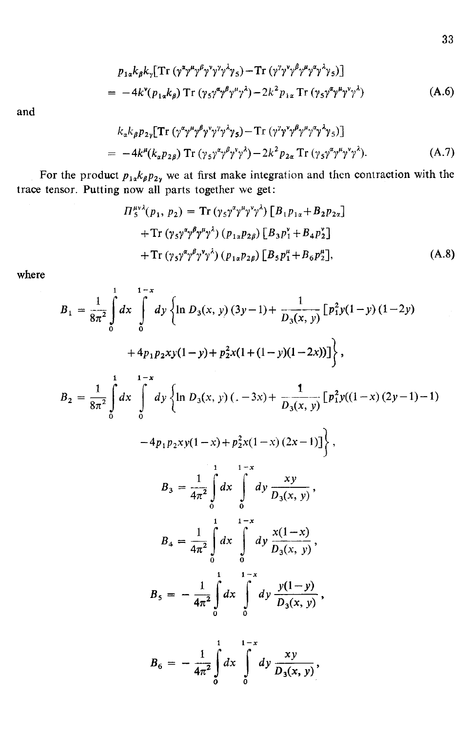$$
p_{1\alpha}k_{\beta}k_{\gamma}[\text{Tr}(\gamma^{\alpha}\gamma^{\mu}\gamma^{\beta}\gamma^{\nu}\gamma^{\gamma}\gamma^{\lambda}\gamma_{5})-\text{Tr}(\gamma^{\gamma}\gamma^{\nu}\gamma^{\beta}\gamma^{\mu}\gamma^{\alpha}\gamma^{\lambda}\gamma_{5})]
$$
  
= -4k<sup>v</sup>(p<sub>1\alpha</sub>k\_{\beta})\text{Tr}(\gamma\_{5}\gamma^{\alpha}\gamma^{\beta}\gamma^{\mu}\gamma^{\lambda})-2k^{2}p\_{1\alpha}\text{Tr}(\gamma\_{5}\gamma^{\alpha}\gamma^{\mu}\gamma^{\nu}\gamma^{\lambda}) \t(A.6)

and

$$
k_{\alpha}k_{\beta}p_{2\gamma}\left[\operatorname{Tr}\left(\gamma^{\alpha}\gamma^{\mu}\gamma^{\beta}\gamma^{\nu}\gamma^{\gamma}\gamma^{\lambda}\gamma_{5}\right)-\operatorname{Tr}\left(\gamma^{\nu}\gamma^{\nu}\gamma^{\beta}\gamma^{\mu}\gamma^{\alpha}\gamma^{\lambda}\gamma_{5}\right)\right]
$$
  
= -4k^{\mu}(k\_{\alpha}p\_{2\beta})\operatorname{Tr}\left(\gamma\_{5}\gamma^{\alpha}\gamma^{\beta}\gamma^{\nu}\gamma^{\lambda}\right)-2k^{2}p\_{2\alpha}\operatorname{Tr}\left(\gamma\_{5}\gamma^{\alpha}\gamma^{\mu}\gamma^{\nu}\gamma^{\lambda}\right). (A.7)

For the product  $p_{1x}k_{\beta}p_{2y}$  we at first make integration and then contraction with the trace tensor. Putting now all parts together we get:

$$
\Pi_{5}^{\mu\nu\lambda}(p_{1}, p_{2}) = \text{Tr} \left(\gamma_{5}\gamma^{\alpha}\gamma^{\mu}\gamma^{\nu}\gamma^{\lambda}\right) \left[B_{1}p_{1\alpha} + B_{2}p_{2\alpha}\right] \n+ \text{Tr} \left(\gamma_{5}\gamma^{\alpha}\gamma^{\beta}\gamma^{\mu}\gamma^{\lambda}\right) \left(p_{1\alpha}p_{2\beta}\right) \left[B_{3}p_{1}^{\nu} + B_{4}p_{2}^{\nu}\right] \n+ \text{Tr} \left(\gamma_{5}\gamma^{\alpha}\gamma^{\beta}\gamma^{\nu}\gamma^{\lambda}\right) \left(p_{1\alpha}p_{2\beta}\right) \left[B_{5}p_{1}^{\mu} + B_{6}p_{2}^{\mu}\right],
$$
\n(A.8)

where

$$
B_{1} = \frac{1}{8\pi^{2}} \int_{0}^{1} dx \int_{0}^{1-x} dy \left\{ \ln D_{3}(x, y) (3y-1) + \frac{1}{D_{3}(x, y)} [p_{1}^{2}y(1-y) (1-2y) + 4p_{1}p_{2}xy(1-y) + p_{2}^{2}x(1+(1-y)(1-2x))] \right\},
$$
  
\n
$$
B_{2} = \frac{1}{8\pi^{2}} \int_{0}^{1} dx \int_{0}^{1-x} dy \left\{ \ln D_{3}(x, y) (-3x) + \frac{1}{D_{3}(x, y)} [p_{1}^{2}y((1-x)(2y-1)-1) - 4p_{1}p_{2}xy(1-x) + p_{2}^{2}x(1-x)(2x-1)] \right\},
$$
  
\n
$$
B_{3} = \frac{1}{4\pi^{2}} \int_{0}^{1} dx \int_{0}^{1-x} dy \frac{xy}{D_{3}(x, y)},
$$
  
\n
$$
B_{4} = \frac{1}{4\pi^{2}} \int_{0}^{1} dx \int_{0}^{1-x} dy \frac{x(1-x)}{D_{3}(x, y)},
$$
  
\n
$$
B_{5} = -\frac{1}{4\pi^{2}} \int_{0}^{1} dx \int_{0}^{1-x} dy \frac{y(1-y)}{D_{3}(x, y)},
$$
  
\n
$$
B_{6} = -\frac{1}{4\pi^{2}} \int_{0}^{1} dx \int_{0}^{1-x} dy \frac{xy}{D_{3}(x, y)},
$$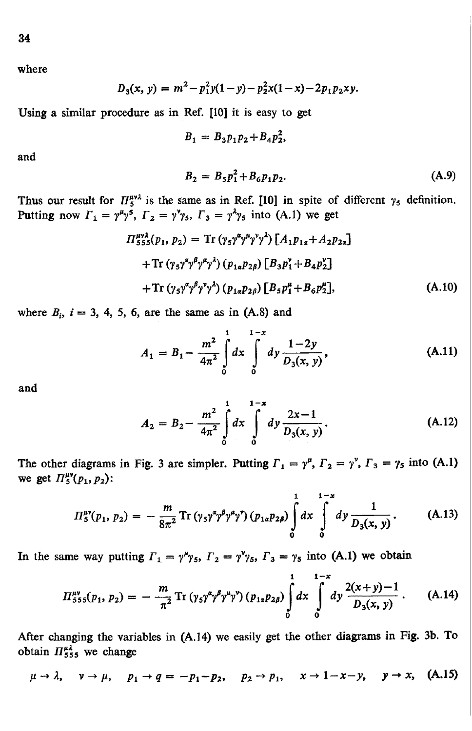where

$$
D_3(x, y) = m^2 - p_1^2 y (1 - y) - p_2^2 x (1 - x) - 2p_1 p_2 xy.
$$

Using a similar procedure as in Ref. [10] it is easy to get

$$
B_1 = B_3 p_1 p_2 + B_4 p_2^2
$$

and

$$
B_2 = B_5 p_1^2 + B_6 p_1 p_2. \tag{A.9}
$$

Thus our result for  $\Pi_5^{\mu\nu\lambda}$  is the same as in Ref. [10] in spite of different  $\gamma_5$  definition. Putting now  $\Gamma_1 = \gamma^{\mu} \gamma^5$ ,  $\Gamma_2 = \gamma^{\nu} \gamma_5$ ,  $\Gamma_3 = \gamma^{\nu} \gamma_5$  into (A.1) we get

$$
\Pi_{555}^{\mu\nu\lambda}(p_1, p_2) = \text{Tr} (\gamma_5 \gamma^{\alpha} \gamma^{\mu} \gamma^{\nu} \gamma^{\lambda}) [A_1 p_{1\alpha} + A_2 p_{2\alpha}]
$$
  
+ 
$$
\text{Tr} (\gamma_5 \gamma^{\alpha} \gamma^{\beta} \gamma^{\mu} \gamma^{\lambda}) (p_{1\alpha} p_{2\beta}) [B_3 p_1^{\nu} + B_4 p_2^{\nu}]
$$
  
+ 
$$
\text{Tr} (\gamma_5 \gamma^{\alpha} \gamma^{\beta} \gamma^{\nu} \gamma^{\lambda}) (p_{1\alpha} p_{2\beta}) [B_5 p_1^{\mu} + B_6 p_2^{\mu}], \qquad (A.10)
$$

where  $B_i$ ,  $i = 3, 4, 5, 6$ , are the same as in (A.8) and

$$
A_1 = B_1 - \frac{m^2}{4\pi^2} \int_0^1 dx \int_0^{1-x} dy \frac{1-2y}{D_3(x, y)},
$$
 (A.11)

and

$$
A_2 = B_2 - \frac{m^2}{4\pi^2} \int_0^1 dx \int_0^{1-x} dy \frac{2x-1}{D_3(x, y)}.
$$
 (A.12)

The other diagrams in Fig. 3 are simpler. Putting  $\Gamma_1 = \gamma^{\mu}$ ,  $\Gamma_2 = \gamma^{\nu}$ ,  $\Gamma_3 = \gamma_5$  into (A.1) we get  $\Pi_{5}^{\mu\nu}(p_{1}, p_{2})$ :

$$
\Pi_5^{\mu\nu}(p_1, p_2) = -\frac{m}{8\pi^2} \operatorname{Tr} \left( \gamma_5 \gamma^2 \gamma^{\beta} \gamma^{\mu} \gamma^{\nu} \right) \left( p_{1\alpha} p_{2\beta} \right) \int_0^1 dx \int_0^{1-x} dy \frac{1}{D_3(x, y)} \,. \tag{A.13}
$$

In the same way putting  $\Gamma_1 = \gamma^{\mu} \gamma_5$ ,  $\Gamma_2 = \gamma^{\nu} \gamma_5$ ,  $\Gamma_3 = \gamma_5$  into (A.1) we obtain

$$
\Pi_{555}^{\mu\nu}(p_1, p_2) = -\frac{m}{\pi^2} \operatorname{Tr} \left( \gamma_5 \gamma^{\alpha} \gamma^{\beta} \gamma^{\mu} \gamma^{\nu} \right) \left( p_{1\alpha} p_{2\beta} \right) \int_0^1 dx \int_0^{1-x} dy \frac{2(x+y)-1}{D_3(x, y)} \,. \tag{A.14}
$$

After changing the variables in (A. 14) we easily get the other diagrams in Fig. 3b. To obtain  $\Pi_{555}^{\mu\lambda}$  we change

$$
\mu \to \lambda, \quad \nu \to \mu, \quad p_1 \to q = -p_1 - p_2, \quad p_2 \to p_1, \quad x \to 1 - x - y, \quad y \to x, \quad (A.15)
$$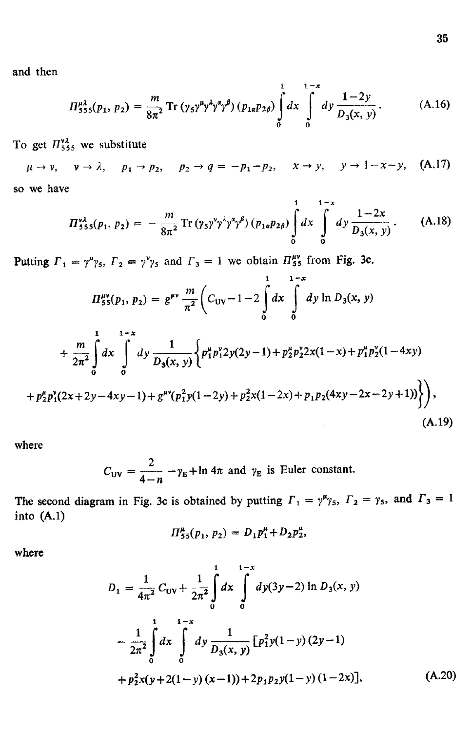and then

$$
\Pi_{555}^{\mu\lambda}(p_1, p_2) = \frac{m}{8\pi^2} \operatorname{Tr} \left( \gamma_5 \gamma^{\mu} \gamma^{\lambda} \gamma^{\alpha} \gamma^{\beta} \right) \left( p_{1\alpha} p_{2\beta} \right) \int_0^1 dx \int_0^{1-x} dy \frac{1-2y}{D_3(x, y)}.
$$
 (A.16)

To get  $\pi_{555}^{3}$  we substitute

 $\mu \to \nu$ ,  $\nu \to \lambda$ ,  $p_1 \to p_2$ ,  $p_2 \to q = -p_1 - p_2$ ,  $x \to y$ ,  $y \to 1 - x - y$ , (A.17) so we have

$$
\Pi_{555}^{\nu\lambda}(p_1, p_2) = -\frac{m}{8\pi^2} \operatorname{Tr} \left( \gamma_5 \gamma^{\nu} \gamma^{\lambda} \gamma^{\alpha} \gamma^{\beta} \right) \left( p_{1\alpha} p_{2\beta} \right) \int_0^1 dx \int_0^{1-x} dy \frac{1-2x}{D_3(x, y)}.
$$
 (A.18)

Putting  $\Gamma_1 = \gamma^{\mu} \gamma_5$ ,  $\Gamma_2 = \gamma^{\nu} \gamma_5$  and  $\Gamma_3 = 1$  we obtain  $\Pi_{55}^{\mu \nu}$  from Fig. 3c.

$$
\Pi_{55}^{\mu\nu}(p_1, p_2) = g^{\mu\nu} \frac{m}{\pi^2} \left( C_{\text{UV}} - 1 - 2 \int_0^1 dx \int_0^{1-x} dy \ln D_3(x, y) \right. \\
\left. + \frac{m}{2\pi^2} \int_0^1 dx \int_0^{1-x} dy \frac{1}{D_3(x, y)} \left\{ p_1^{\mu} p_1^{\nu} 2y(2y - 1) + p_2^{\mu} p_2^{\nu} 2x(1 - x) + p_1^{\mu} p_2^{\nu} (1 - 4xy) \right. \\
\left. + p_2^{\mu} p_1^{\nu} (2x + 2y - 4xy - 1) + g^{\mu\nu} (p_1^2 y(1 - 2y) + p_2^2 x(1 - 2x) + p_1 p_2 (4xy - 2x - 2y + 1)) \right\} \right), \tag{A.19}
$$

where

$$
C_{UV} = \frac{2}{4-n} - \gamma_E + \ln 4\pi \text{ and } \gamma_E \text{ is Euler constant.}
$$

The second diagram in Fig. 3c is obtained by putting  $\Gamma_1 = \gamma^{\mu} \gamma_5$ ,  $\Gamma_2 = \gamma_5$ , and  $\Gamma_3 = 1$ into (A.l)

$$
\Pi_{55}^{\mu}(p_1, p_2) = D_1 p_1^{\mu} + D_2 p_2^{\mu},
$$

where

$$
D_1 = \frac{1}{4\pi^2} C_{\text{UV}} + \frac{1}{2\pi^2} \int_0^1 dx \int_0^{1-x} dy(3y-2) \ln D_3(x, y)
$$
  

$$
- \frac{1}{2\pi^2} \int_0^1 dx \int_0^{1-x} dy \frac{1}{D_3(x, y)} [p_1^2 y(1-y) (2y-1)
$$
  
+  $p_2^2 x(y+2(1-y) (x-1)) + 2p_1 p_2 y(1-y) (1-2x)],$  (A.20)